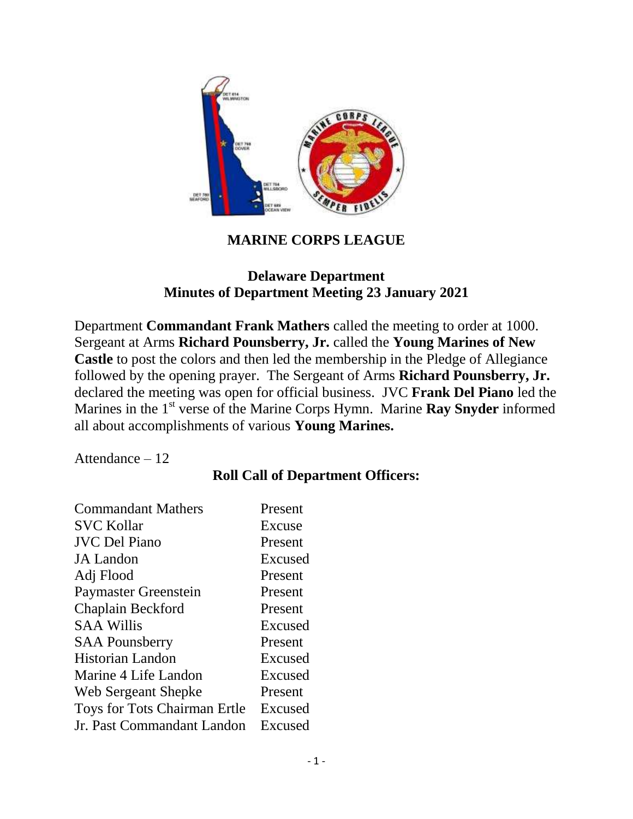

### **MARINE CORPS LEAGUE**

#### **Delaware Department Minutes of Department Meeting 23 January 2021**

Department **Commandant Frank Mathers** called the meeting to order at 1000. Sergeant at Arms **Richard Pounsberry, Jr.** called the **Young Marines of New Castle** to post the colors and then led the membership in the Pledge of Allegiance followed by the opening prayer. The Sergeant of Arms **Richard Pounsberry, Jr.** declared the meeting was open for official business. JVC **Frank Del Piano** led the Marines in the 1<sup>st</sup> verse of the Marine Corps Hymn. Marine **Ray Snyder** informed all about accomplishments of various **Young Marines.** 

Attendance – 12

### **Roll Call of Department Officers:**

| <b>Commandant Mathers</b>    | Present |
|------------------------------|---------|
| <b>SVC Kollar</b>            | Excuse  |
| <b>JVC Del Piano</b>         | Present |
| <b>JA</b> Landon             | Excused |
| Adj Flood                    | Present |
| Paymaster Greenstein         | Present |
| Chaplain Beckford            | Present |
| <b>SAA Willis</b>            | Excused |
| <b>SAA Pounsberry</b>        | Present |
| <b>Historian Landon</b>      | Excused |
| Marine 4 Life Landon         | Excused |
| Web Sergeant Shepke          | Present |
| Toys for Tots Chairman Ertle | Excused |
| Jr. Past Commandant Landon   | Excused |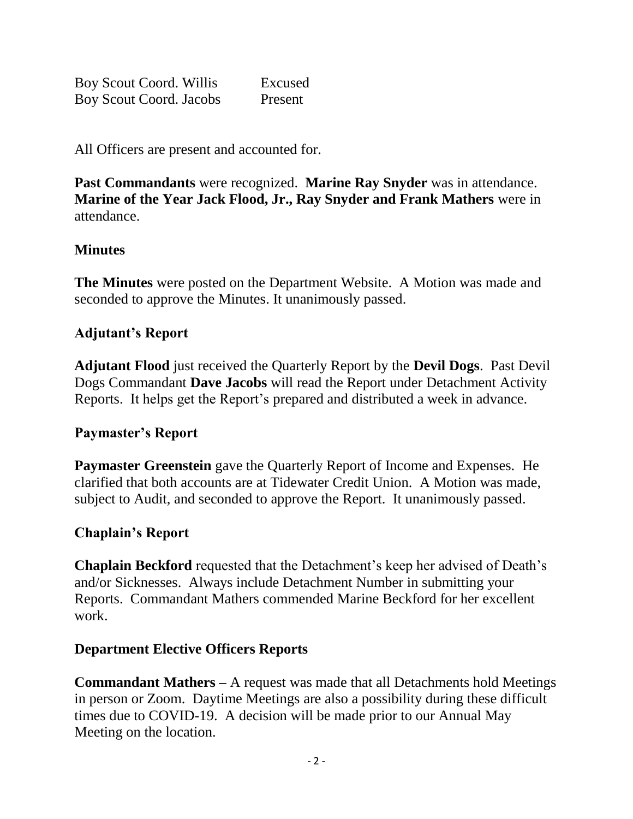Boy Scout Coord. Willis Excused Boy Scout Coord. Jacobs Present

All Officers are present and accounted for.

**Past Commandants** were recognized. **Marine Ray Snyder** was in attendance. **Marine of the Year Jack Flood, Jr., Ray Snyder and Frank Mathers** were in attendance.

# **Minutes**

**The Minutes** were posted on the Department Website. A Motion was made and seconded to approve the Minutes. It unanimously passed.

# **Adjutant's Report**

**Adjutant Flood** just received the Quarterly Report by the **Devil Dogs**. Past Devil Dogs Commandant **Dave Jacobs** will read the Report under Detachment Activity Reports. It helps get the Report's prepared and distributed a week in advance.

### **Paymaster's Report**

**Paymaster Greenstein** gave the Quarterly Report of Income and Expenses. He clarified that both accounts are at Tidewater Credit Union. A Motion was made, subject to Audit, and seconded to approve the Report. It unanimously passed.

### **Chaplain's Report**

**Chaplain Beckford** requested that the Detachment's keep her advised of Death's and/or Sicknesses. Always include Detachment Number in submitting your Reports. Commandant Mathers commended Marine Beckford for her excellent work.

#### **Department Elective Officers Reports**

**Commandant Mathers –** A request was made that all Detachments hold Meetings in person or Zoom. Daytime Meetings are also a possibility during these difficult times due to COVID-19. A decision will be made prior to our Annual May Meeting on the location.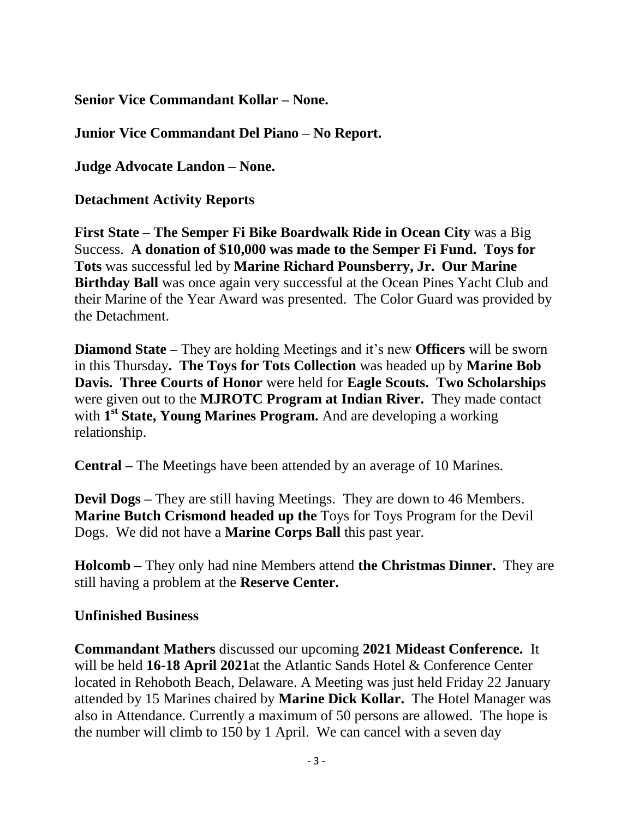**Senior Vice Commandant Kollar – None.**

**Junior Vice Commandant Del Piano – No Report.**

**Judge Advocate Landon – None.**

**Detachment Activity Reports**

**First State – The Semper Fi Bike Boardwalk Ride in Ocean City** was a Big Success. **A donation of \$10,000 was made to the Semper Fi Fund. Toys for Tots** was successful led by **Marine Richard Pounsberry, Jr. Our Marine Birthday Ball** was once again very successful at the Ocean Pines Yacht Club and their Marine of the Year Award was presented. The Color Guard was provided by the Detachment.

**Diamond State –** They are holding Meetings and it's new **Officers** will be sworn in this Thursday**. The Toys for Tots Collection** was headed up by **Marine Bob Davis. Three Courts of Honor** were held for **Eagle Scouts. Two Scholarships**  were given out to the **MJROTC Program at Indian River.** They made contact with **1 st State, Young Marines Program.** And are developing a working relationship.

**Central –** The Meetings have been attended by an average of 10 Marines.

**Devil Dogs –** They are still having Meetings. They are down to 46 Members. **Marine Butch Crismond headed up the** Toys for Toys Program for the Devil Dogs. We did not have a **Marine Corps Ball** this past year.

**Holcomb –** They only had nine Members attend **the Christmas Dinner.** They are still having a problem at the **Reserve Center.** 

# **Unfinished Business**

**Commandant Mathers** discussed our upcoming **2021 Mideast Conference.** It will be held **16-18 April 2021**at the Atlantic Sands Hotel & Conference Center located in Rehoboth Beach, Delaware. A Meeting was just held Friday 22 January attended by 15 Marines chaired by **Marine Dick Kollar.** The Hotel Manager was also in Attendance. Currently a maximum of 50 persons are allowed. The hope is the number will climb to 150 by 1 April. We can cancel with a seven day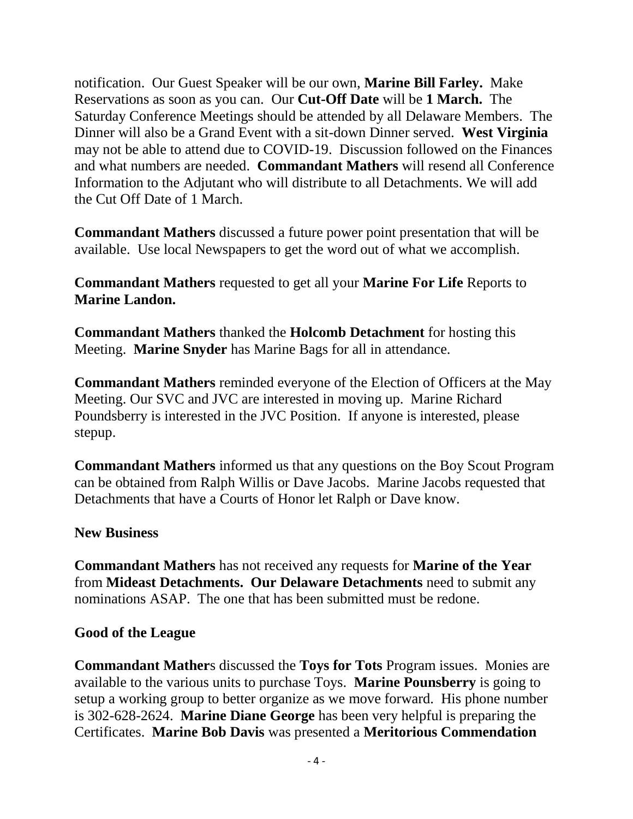notification. Our Guest Speaker will be our own, **Marine Bill Farley.** Make Reservations as soon as you can. Our **Cut-Off Date** will be **1 March.** The Saturday Conference Meetings should be attended by all Delaware Members. The Dinner will also be a Grand Event with a sit-down Dinner served. **West Virginia** may not be able to attend due to COVID-19. Discussion followed on the Finances and what numbers are needed. **Commandant Mathers** will resend all Conference Information to the Adjutant who will distribute to all Detachments. We will add the Cut Off Date of 1 March.

**Commandant Mathers** discussed a future power point presentation that will be available. Use local Newspapers to get the word out of what we accomplish.

**Commandant Mathers** requested to get all your **Marine For Life** Reports to **Marine Landon.** 

**Commandant Mathers** thanked the **Holcomb Detachment** for hosting this Meeting. **Marine Snyder** has Marine Bags for all in attendance.

**Commandant Mathers** reminded everyone of the Election of Officers at the May Meeting. Our SVC and JVC are interested in moving up. Marine Richard Poundsberry is interested in the JVC Position. If anyone is interested, please stepup.

**Commandant Mathers** informed us that any questions on the Boy Scout Program can be obtained from Ralph Willis or Dave Jacobs. Marine Jacobs requested that Detachments that have a Courts of Honor let Ralph or Dave know.

#### **New Business**

**Commandant Mathers** has not received any requests for **Marine of the Year**  from **Mideast Detachments. Our Delaware Detachments** need to submit any nominations ASAP. The one that has been submitted must be redone.

#### **Good of the League**

**Commandant Mather**s discussed the **Toys for Tots** Program issues. Monies are available to the various units to purchase Toys. **Marine Pounsberry** is going to setup a working group to better organize as we move forward. His phone number is 302-628-2624. **Marine Diane George** has been very helpful is preparing the Certificates. **Marine Bob Davis** was presented a **Meritorious Commendation**